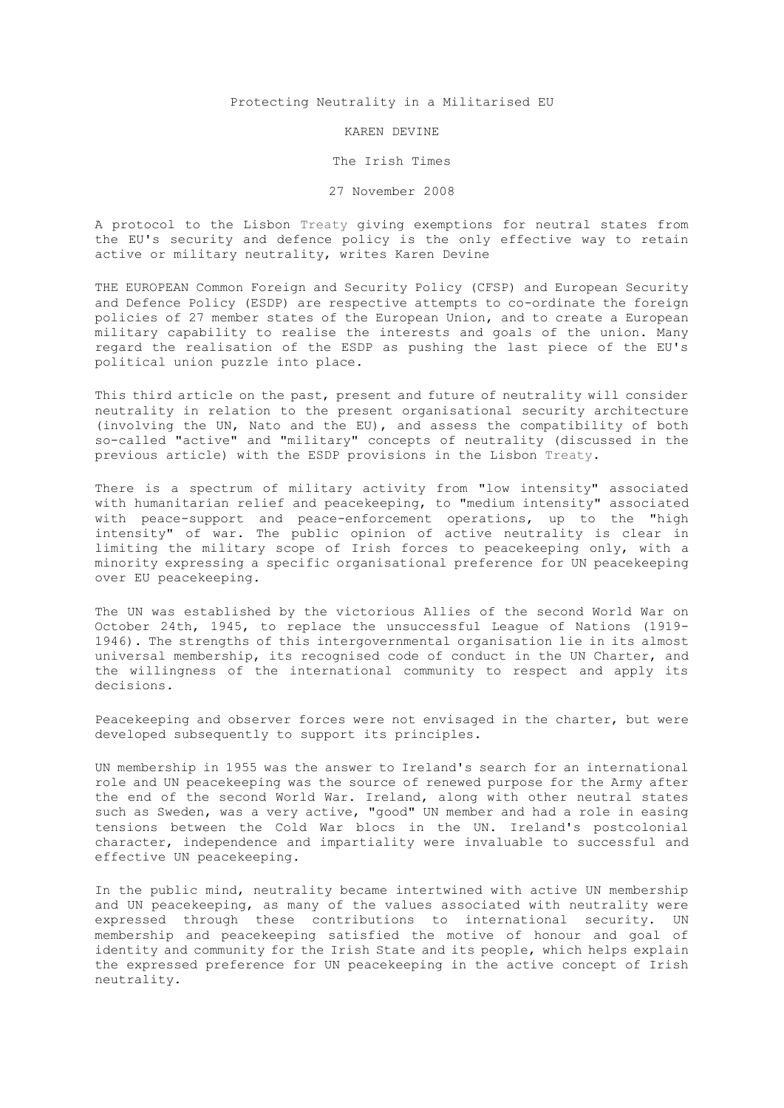## Protecting Neutrality in a Militarised EU

## KAREN DEVINE

## The Irish Times

## 27 November 2008

A protocol to the Lisbon Treaty giving exemptions for neutral states from the EU's security and defence policy is the only effective way to retain active or military neutrality, writes Karen Devine

THE EUROPEAN Common Foreign and Security Policy (CFSP) and European Security and Defence Policy (ESDP) are respective attempts to co-ordinate the foreign policies of 27 member states of the European Union, and to create a European military capability to realise the interests and goals of the union. Many regard the realisation of the ESDP as pushing the last piece of the EU's political union puzzle into place.

This third article on the past, present and future of neutrality will consider neutrality in relation to the present organisational security architecture (involving the UN, Nato and the EU), and assess the compatibility of both so-called "active" and "military" concepts of neutrality (discussed in the previous article) with the ESDP provisions in the Lisbon Treaty.

There is a spectrum of military activity from "low intensity" associated with humanitarian relief and peacekeeping, to "medium intensity" associated with peace-support and peace-enforcement operations, up to the "high intensity" of war. The public opinion of active neutrality is clear in limiting the military scope of Irish forces to peacekeeping only, with a minority expressing a specific organisational preference for UN peacekeeping over EU peacekeeping.

The UN was established by the victorious Allies of the second World War on October 24th, 1945, to replace the unsuccessful League of Nations (1919- 1946). The strengths of this intergovernmental organisation lie in its almost universal membership, its recognised code of conduct in the UN Charter, and the willingness of the international community to respect and apply its decisions.

Peacekeeping and observer forces were not envisaged in the charter, but were developed subsequently to support its principles.

UN membership in 1955 was the answer to Ireland's search for an international role and UN peacekeeping was the source of renewed purpose for the Army after the end of the second World War. Ireland, along with other neutral states such as Sweden, was a very active, "good" UN member and had a role in easing tensions between the Cold War blocs in the UN. Ireland's postcolonial character, independence and impartiality were invaluable to successful and effective UN peacekeeping.

In the public mind, neutrality became intertwined with active UN membership and UN peacekeeping, as many of the values associated with neutrality were expressed through these contributions to international security. UN membership and peacekeeping satisfied the motive of honour and goal of identity and community for the Irish State and its people, which helps explain the expressed preference for UN peacekeeping in the active concept of Irish neutrality.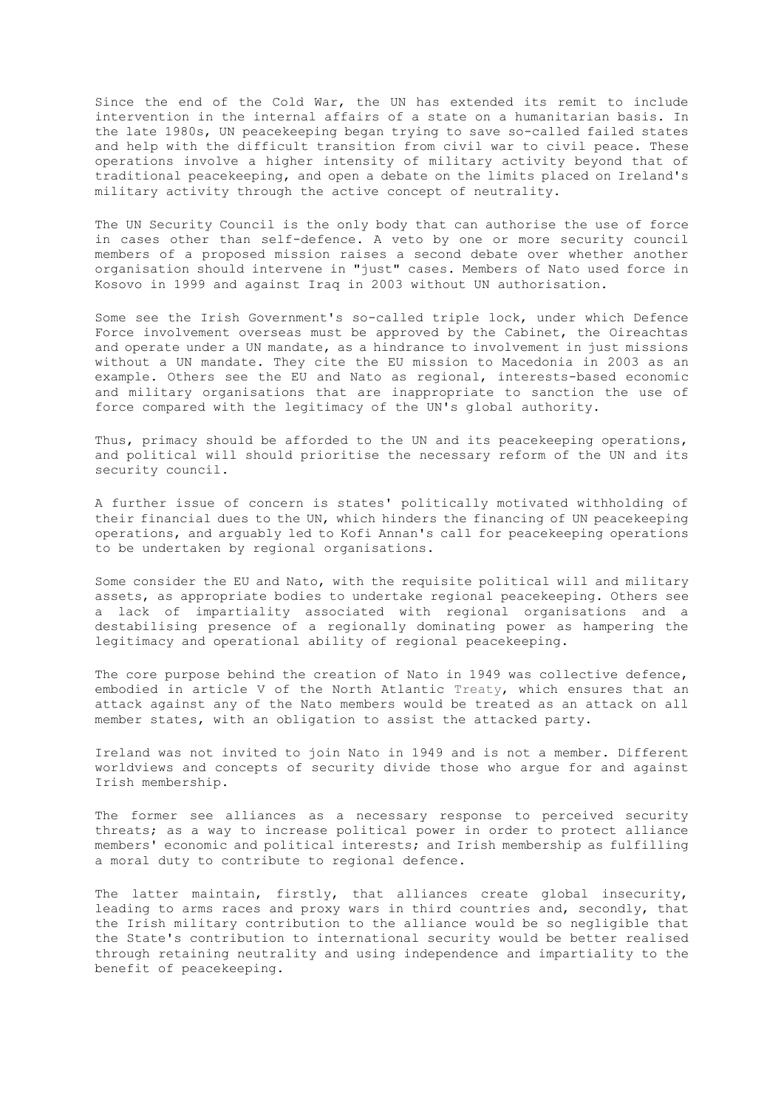Since the end of the Cold War, the UN has extended its remit to include intervention in the internal affairs of a state on a humanitarian basis. In the late 1980s, UN peacekeeping began trying to save so-called failed states and help with the difficult transition from civil war to civil peace. These operations involve a higher intensity of military activity beyond that of traditional peacekeeping, and open a debate on the limits placed on Ireland's military activity through the active concept of neutrality.

The UN Security Council is the only body that can authorise the use of force in cases other than self-defence. A veto by one or more security council members of a proposed mission raises a second debate over whether another organisation should intervene in "just" cases. Members of Nato used force in Kosovo in 1999 and against Iraq in 2003 without UN authorisation.

Some see the Irish Government's so-called triple lock, under which Defence Force involvement overseas must be approved by the Cabinet, the Oireachtas and operate under a UN mandate, as a hindrance to involvement in just missions without a UN mandate. They cite the EU mission to Macedonia in 2003 as an example. Others see the EU and Nato as regional, interests-based economic and military organisations that are inappropriate to sanction the use of force compared with the legitimacy of the UN's global authority.

Thus, primacy should be afforded to the UN and its peacekeeping operations, and political will should prioritise the necessary reform of the UN and its security council.

A further issue of concern is states' politically motivated withholding of their financial dues to the UN, which hinders the financing of UN peacekeeping operations, and arguably led to Kofi Annan's call for peacekeeping operations to be undertaken by regional organisations.

Some consider the EU and Nato, with the requisite political will and military assets, as appropriate bodies to undertake regional peacekeeping. Others see a lack of impartiality associated with regional organisations and a destabilising presence of a regionally dominating power as hampering the legitimacy and operational ability of regional peacekeeping.

The core purpose behind the creation of Nato in 1949 was collective defence, embodied in article V of the North Atlantic Treaty, which ensures that an attack against any of the Nato members would be treated as an attack on all member states, with an obligation to assist the attacked party.

Ireland was not invited to join Nato in 1949 and is not a member. Different worldviews and concepts of security divide those who argue for and against Irish membership.

The former see alliances as a necessary response to perceived security threats; as a way to increase political power in order to protect alliance members' economic and political interests; and Irish membership as fulfilling a moral duty to contribute to regional defence.

The latter maintain, firstly, that alliances create global insecurity, leading to arms races and proxy wars in third countries and, secondly, that the Irish military contribution to the alliance would be so negligible that the State's contribution to international security would be better realised through retaining neutrality and using independence and impartiality to the benefit of peacekeeping.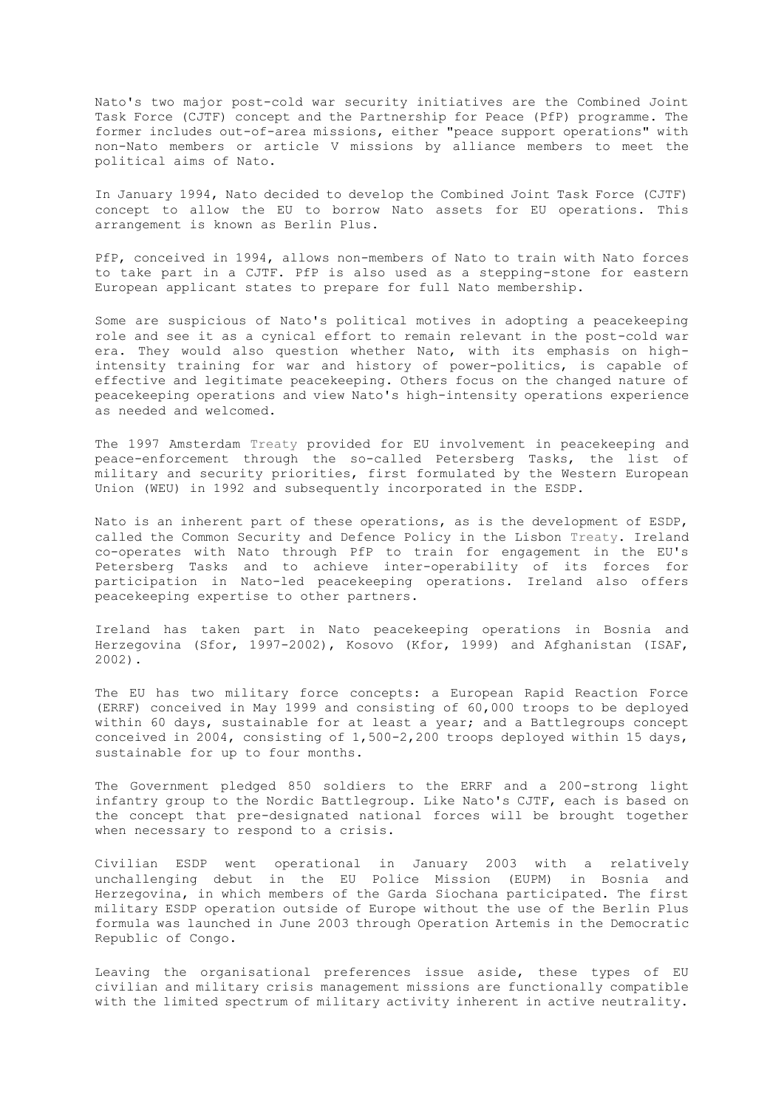Nato's two major post-cold war security initiatives are the Combined Joint Task Force (CJTF) concept and the Partnership for Peace (PfP) programme. The former includes out-of-area missions, either "peace support operations" with non-Nato members or article V missions by alliance members to meet the political aims of Nato.

In January 1994, Nato decided to develop the Combined Joint Task Force (CJTF) concept to allow the EU to borrow Nato assets for EU operations. This arrangement is known as Berlin Plus.

PfP, conceived in 1994, allows non-members of Nato to train with Nato forces to take part in a CJTF. PfP is also used as a stepping-stone for eastern European applicant states to prepare for full Nato membership.

Some are suspicious of Nato's political motives in adopting a peacekeeping role and see it as a cynical effort to remain relevant in the post-cold war era. They would also question whether Nato, with its emphasis on highintensity training for war and history of power-politics, is capable of effective and legitimate peacekeeping. Others focus on the changed nature of peacekeeping operations and view Nato's high-intensity operations experience as needed and welcomed.

The 1997 Amsterdam Treaty provided for EU involvement in peacekeeping and peace-enforcement through the so-called Petersberg Tasks, the list of military and security priorities, first formulated by the Western European Union (WEU) in 1992 and subsequently incorporated in the ESDP.

Nato is an inherent part of these operations, as is the development of ESDP, called the Common Security and Defence Policy in the Lisbon Treaty. Ireland co-operates with Nato through PfP to train for engagement in the EU's Petersberg Tasks and to achieve inter-operability of its forces for participation in Nato-led peacekeeping operations. Ireland also offers peacekeeping expertise to other partners.

Ireland has taken part in Nato peacekeeping operations in Bosnia and Herzegovina (Sfor, 1997-2002), Kosovo (Kfor, 1999) and Afghanistan (ISAF, 2002).

The EU has two military force concepts: a European Rapid Reaction Force (ERRF) conceived in May 1999 and consisting of 60,000 troops to be deployed within 60 days, sustainable for at least a year; and a Battlegroups concept conceived in 2004, consisting of 1,500-2,200 troops deployed within 15 days, sustainable for up to four months.

The Government pledged 850 soldiers to the ERRF and a 200-strong light infantry group to the Nordic Battlegroup. Like Nato's CJTF, each is based on the concept that pre-designated national forces will be brought together when necessary to respond to a crisis.

Civilian ESDP went operational in January 2003 with a relatively unchallenging debut in the EU Police Mission (EUPM) in Bosnia and Herzegovina, in which members of the Garda Siochana participated. The first military ESDP operation outside of Europe without the use of the Berlin Plus formula was launched in June 2003 through Operation Artemis in the Democratic Republic of Congo.

Leaving the organisational preferences issue aside, these types of EU civilian and military crisis management missions are functionally compatible with the limited spectrum of military activity inherent in active neutrality.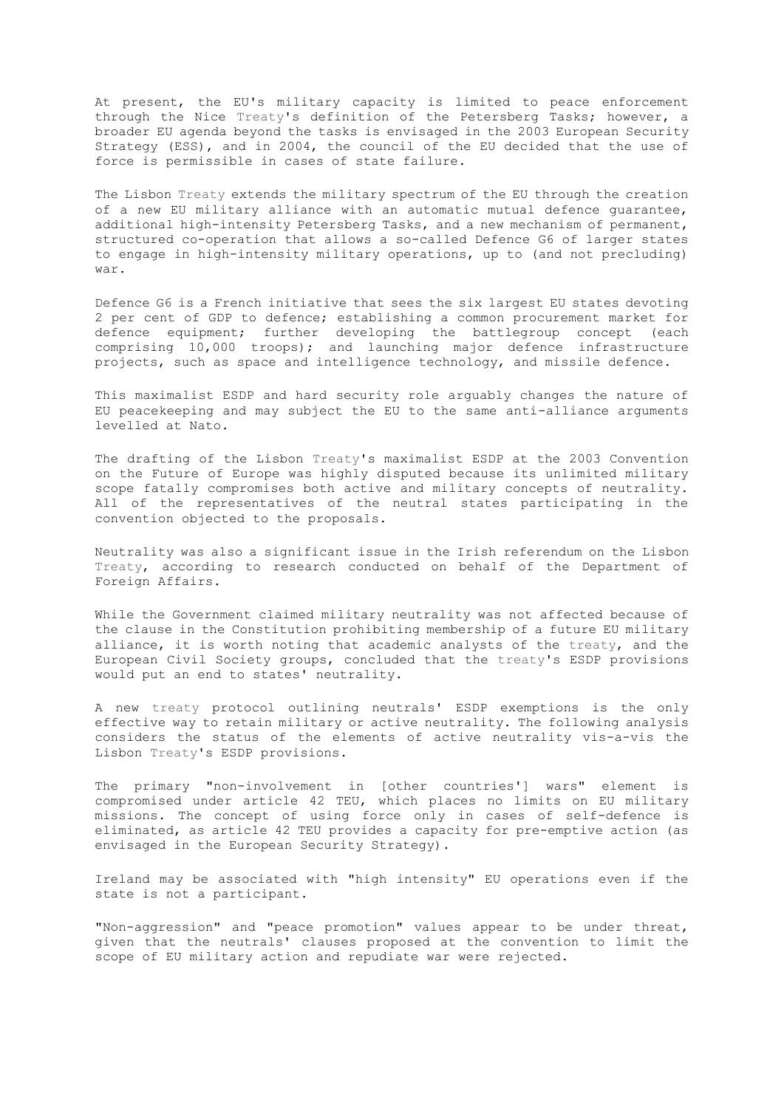At present, the EU's military capacity is limited to peace enforcement through the Nice Treaty's definition of the Petersberg Tasks; however, a broader EU agenda beyond the tasks is envisaged in the 2003 European Security Strategy (ESS), and in 2004, the council of the EU decided that the use of force is permissible in cases of state failure.

The Lisbon Treaty extends the military spectrum of the EU through the creation of a new EU military alliance with an automatic mutual defence guarantee, additional high-intensity Petersberg Tasks, and a new mechanism of permanent, structured co-operation that allows a so-called Defence G6 of larger states to engage in high-intensity military operations, up to (and not precluding) war.

Defence G6 is a French initiative that sees the six largest EU states devoting 2 per cent of GDP to defence; establishing a common procurement market for defence equipment; further developing the battlegroup concept (each comprising 10,000 troops); and launching major defence infrastructure projects, such as space and intelligence technology, and missile defence.

This maximalist ESDP and hard security role arguably changes the nature of EU peacekeeping and may subject the EU to the same anti-alliance arguments levelled at Nato.

The drafting of the Lisbon Treaty's maximalist ESDP at the 2003 Convention on the Future of Europe was highly disputed because its unlimited military scope fatally compromises both active and military concepts of neutrality. All of the representatives of the neutral states participating in the convention objected to the proposals.

Neutrality was also a significant issue in the Irish referendum on the Lisbon Treaty, according to research conducted on behalf of the Department of Foreign Affairs.

While the Government claimed military neutrality was not affected because of the clause in the Constitution prohibiting membership of a future EU military alliance, it is worth noting that academic analysts of the treaty, and the European Civil Society groups, concluded that the treaty's ESDP provisions would put an end to states' neutrality.

A new treaty protocol outlining neutrals' ESDP exemptions is the only effective way to retain military or active neutrality. The following analysis considers the status of the elements of active neutrality vis-a-vis the Lisbon Treaty's ESDP provisions.

The primary "non-involvement in [other countries'] wars" element is compromised under article 42 TEU, which places no limits on EU military missions. The concept of using force only in cases of self-defence is eliminated, as article 42 TEU provides a capacity for pre-emptive action (as envisaged in the European Security Strategy).

Ireland may be associated with "high intensity" EU operations even if the state is not a participant.

"Non-aggression" and "peace promotion" values appear to be under threat, given that the neutrals' clauses proposed at the convention to limit the scope of EU military action and repudiate war were rejected.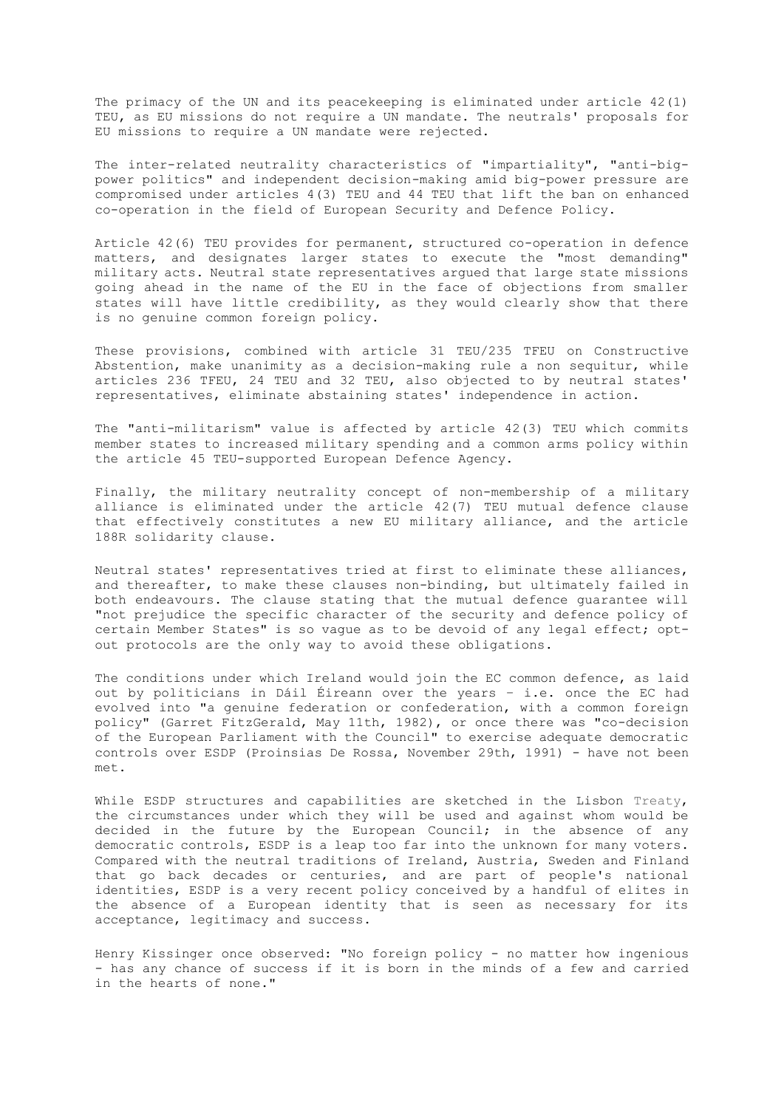The primacy of the UN and its peacekeeping is eliminated under article 42(1) TEU, as EU missions do not require a UN mandate. The neutrals' proposals for EU missions to require a UN mandate were rejected.

The inter-related neutrality characteristics of "impartiality", "anti-bigpower politics" and independent decision-making amid big-power pressure are compromised under articles 4(3) TEU and 44 TEU that lift the ban on enhanced co-operation in the field of European Security and Defence Policy.

Article 42(6) TEU provides for permanent, structured co-operation in defence matters, and designates larger states to execute the "most demanding" military acts. Neutral state representatives argued that large state missions going ahead in the name of the EU in the face of objections from smaller states will have little credibility, as they would clearly show that there is no genuine common foreign policy.

These provisions, combined with article 31 TEU/235 TFEU on Constructive Abstention, make unanimity as a decision-making rule a non sequitur, while articles 236 TFEU, 24 TEU and 32 TEU, also objected to by neutral states' representatives, eliminate abstaining states' independence in action.

The "anti-militarism" value is affected by article 42(3) TEU which commits member states to increased military spending and a common arms policy within the article 45 TEU-supported European Defence Agency.

Finally, the military neutrality concept of non-membership of a military alliance is eliminated under the article 42(7) TEU mutual defence clause that effectively constitutes a new EU military alliance, and the article 188R solidarity clause.

Neutral states' representatives tried at first to eliminate these alliances, and thereafter, to make these clauses non-binding, but ultimately failed in both endeavours. The clause stating that the mutual defence guarantee will "not prejudice the specific character of the security and defence policy of certain Member States" is so vague as to be devoid of any legal effect; optout protocols are the only way to avoid these obligations.

The conditions under which Ireland would join the EC common defence, as laid out by politicians in Dáil Éireann over the years – i.e. once the EC had evolved into "a genuine federation or confederation, with a common foreign policy" (Garret FitzGerald, May 11th, 1982), or once there was "co-decision of the European Parliament with the Council" to exercise adequate democratic controls over ESDP (Proinsias De Rossa, November 29th, 1991) - have not been met.

While ESDP structures and capabilities are sketched in the Lisbon Treaty, the circumstances under which they will be used and against whom would be decided in the future by the European Council; in the absence of any democratic controls, ESDP is a leap too far into the unknown for many voters. Compared with the neutral traditions of Ireland, Austria, Sweden and Finland that go back decades or centuries, and are part of people's national identities, ESDP is a very recent policy conceived by a handful of elites in the absence of a European identity that is seen as necessary for its acceptance, legitimacy and success.

Henry Kissinger once observed: "No foreign policy - no matter how ingenious - has any chance of success if it is born in the minds of a few and carried in the hearts of none."